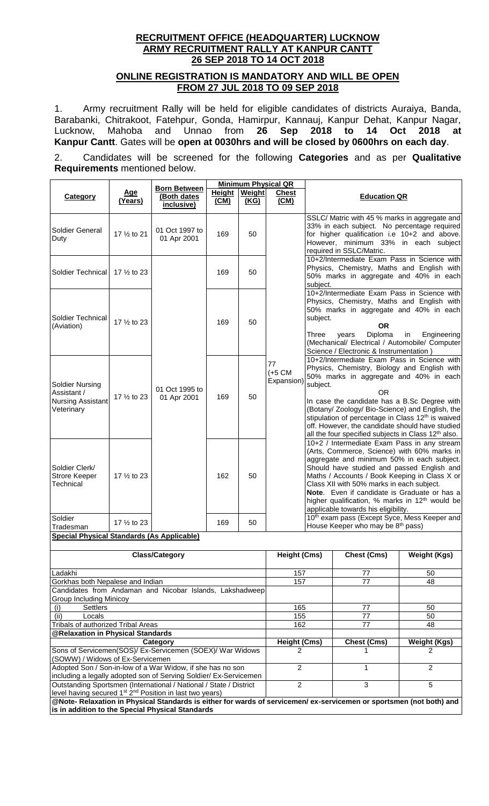# **RECRUITMENT OFFICE (HEADQUARTER) LUCKNOW ARMY RECRUITMENT RALLY AT KANPUR CANTT 26 SEP 2018 TO 14 OCT 2018**

# **ONLINE REGISTRATION IS MANDATORY AND WILL BE OPEN FROM 27 JUL 2018 TO 09 SEP 2018**

1. Army recruitment Rally will be held for eligible candidates of districts Auraiya, Banda, Barabanki, Chitrakoot, Fatehpur, Gonda, Hamirpur, Kannauj, Kanpur Dehat, Kanpur Nagar, Lucknow, Mahoba and Unnao from **26 Sep 2018 to 14 Oct 2018 at Kanpur Cantt**. Gates will be **open at 0030hrs and will be closed by 0600hrs on each day**.

2. Candidates will be screened for the following **Categories** and as per **Qualitative Requirements** mentioned below.

|                                                                                                                                                                         |                |                                                  | <b>Minimum Physical QR</b> |                |                                       |                                                                                                                                                                                                                                                                                                                                                                                                                                                                                                                                                                                                                                                                                                                                                                                                                                                                                                                                                                                                                                                                                                                                                                                                                                                                                                                                                                          |
|-------------------------------------------------------------------------------------------------------------------------------------------------------------------------|----------------|--------------------------------------------------|----------------------------|----------------|---------------------------------------|--------------------------------------------------------------------------------------------------------------------------------------------------------------------------------------------------------------------------------------------------------------------------------------------------------------------------------------------------------------------------------------------------------------------------------------------------------------------------------------------------------------------------------------------------------------------------------------------------------------------------------------------------------------------------------------------------------------------------------------------------------------------------------------------------------------------------------------------------------------------------------------------------------------------------------------------------------------------------------------------------------------------------------------------------------------------------------------------------------------------------------------------------------------------------------------------------------------------------------------------------------------------------------------------------------------------------------------------------------------------------|
| <b>Category</b>                                                                                                                                                         | Age<br>(Years) | <b>Born Between</b><br>(Both dates<br>inclusive) | <b>Height</b><br>(CM)      | Weight<br>(KG) | <b>Chest</b><br>(CM)                  | <b>Education QR</b>                                                                                                                                                                                                                                                                                                                                                                                                                                                                                                                                                                                                                                                                                                                                                                                                                                                                                                                                                                                                                                                                                                                                                                                                                                                                                                                                                      |
| Soldier General<br>Duty                                                                                                                                                 | 17 1/2 to 21   | 01 Oct 1997 to<br>01 Apr 2001                    | 169                        | 50             |                                       | SSLC/ Matric with 45 % marks in aggregate and<br>33% in each subject. No percentage required<br>for higher qualification i.e 10+2 and above.<br>However, minimum 33% in each subject<br>required in SSLC/Matric.                                                                                                                                                                                                                                                                                                                                                                                                                                                                                                                                                                                                                                                                                                                                                                                                                                                                                                                                                                                                                                                                                                                                                         |
| Soldier Technical                                                                                                                                                       | 17 % to 23     | 01 Oct 1995 to<br>01 Apr 2001                    | 169                        | 50             | 77<br>$(+5 \text{ CM})$<br>Expansion) | 10+2/Intermediate Exam Pass in Science with<br>Physics, Chemistry, Maths and English with<br>50% marks in aggregate and 40% in each<br>subject.<br>10+2/Intermediate Exam Pass in Science with<br>Physics, Chemistry, Maths and English with<br>50% marks in aggregate and 40% in each<br>subject.<br><b>OR</b><br>Diploma<br>Engineering<br>Three<br>in<br>years<br>(Mechanical/ Electrical / Automobile/ Computer<br>Science / Electronic & Instrumentation )<br>10+2/Intermediate Exam Pass in Science with<br>Physics, Chemistry, Biology and English with<br>50% marks in aggregate and 40% in each<br>subject.<br><b>OR</b><br>In case the candidate has a B.Sc Degree with<br>(Botany/ Zoology/ Bio-Science) and English, the<br>stipulation of percentage in Class 12 <sup>th</sup> is waived<br>off. However, the candidate should have studied<br>all the four specified subjects in Class 12 <sup>th</sup> also.<br>10+2 / Intermediate Exam Pass in any stream<br>(Arts, Commerce, Science) with 60% marks in<br>aggregate and minimum 50% in each subject.<br>Should have studied and passed English and<br>Maths / Accounts / Book Keeping in Class X or<br>Class XII with 50% marks in each subject.<br>Note. Even if candidate is Graduate or has a<br>higher qualification, % marks in 12 <sup>th</sup> would be<br>applicable towards his eligibility. |
| Soldier Technical<br>(Aviation)                                                                                                                                         | 17 1/2 to 23   |                                                  | 169                        | 50             |                                       |                                                                                                                                                                                                                                                                                                                                                                                                                                                                                                                                                                                                                                                                                                                                                                                                                                                                                                                                                                                                                                                                                                                                                                                                                                                                                                                                                                          |
| <b>Soldier Nursing</b><br>Assistant /<br><b>Nursing Assistant</b><br>Veterinary                                                                                         | 17 1/2 to 23   |                                                  | 169                        | 50             |                                       |                                                                                                                                                                                                                                                                                                                                                                                                                                                                                                                                                                                                                                                                                                                                                                                                                                                                                                                                                                                                                                                                                                                                                                                                                                                                                                                                                                          |
| Soldier Clerk/<br><b>Strore Keeper</b><br>Technical                                                                                                                     | 17 1/2 to 23   |                                                  | 162                        | 50             |                                       |                                                                                                                                                                                                                                                                                                                                                                                                                                                                                                                                                                                                                                                                                                                                                                                                                                                                                                                                                                                                                                                                                                                                                                                                                                                                                                                                                                          |
| Soldier<br>Tradesman                                                                                                                                                    | 17 1/2 to 23   |                                                  | 169                        | 50             |                                       | 10 <sup>th</sup> exam pass (Except Syce, Mess Keeper and<br>House Keeper who may be 8 <sup>th</sup> pass)                                                                                                                                                                                                                                                                                                                                                                                                                                                                                                                                                                                                                                                                                                                                                                                                                                                                                                                                                                                                                                                                                                                                                                                                                                                                |
| <b>Special Physical Standards (As Applicable)</b>                                                                                                                       |                |                                                  |                            |                |                                       |                                                                                                                                                                                                                                                                                                                                                                                                                                                                                                                                                                                                                                                                                                                                                                                                                                                                                                                                                                                                                                                                                                                                                                                                                                                                                                                                                                          |
| <b>Class/Category</b>                                                                                                                                                   |                |                                                  |                            |                | <b>Height (Cms)</b>                   | Chest (Cms)<br><b>Weight (Kgs)</b>                                                                                                                                                                                                                                                                                                                                                                                                                                                                                                                                                                                                                                                                                                                                                                                                                                                                                                                                                                                                                                                                                                                                                                                                                                                                                                                                       |
| Ladakhi                                                                                                                                                                 |                |                                                  |                            |                | 157                                   | 77<br>50                                                                                                                                                                                                                                                                                                                                                                                                                                                                                                                                                                                                                                                                                                                                                                                                                                                                                                                                                                                                                                                                                                                                                                                                                                                                                                                                                                 |
| Gorkhas both Nepalese and Indian<br>Candidates from Andaman and Nicobar Islands, Lakshadweep<br><b>Group Including Minicoy</b>                                          |                |                                                  |                            |                | 157                                   | 77<br>48                                                                                                                                                                                                                                                                                                                                                                                                                                                                                                                                                                                                                                                                                                                                                                                                                                                                                                                                                                                                                                                                                                                                                                                                                                                                                                                                                                 |
| Settlers<br>(i)                                                                                                                                                         |                |                                                  |                            |                | 165                                   | 77<br>50                                                                                                                                                                                                                                                                                                                                                                                                                                                                                                                                                                                                                                                                                                                                                                                                                                                                                                                                                                                                                                                                                                                                                                                                                                                                                                                                                                 |
| (ii)<br>Locals                                                                                                                                                          |                |                                                  |                            | 155            | 77<br>50                              |                                                                                                                                                                                                                                                                                                                                                                                                                                                                                                                                                                                                                                                                                                                                                                                                                                                                                                                                                                                                                                                                                                                                                                                                                                                                                                                                                                          |
| <b>Tribals of authorized Tribal Areas</b>                                                                                                                               |                |                                                  |                            |                | 162                                   | $\overline{77}$<br>48                                                                                                                                                                                                                                                                                                                                                                                                                                                                                                                                                                                                                                                                                                                                                                                                                                                                                                                                                                                                                                                                                                                                                                                                                                                                                                                                                    |
| @Relaxation in Physical Standards<br>Category                                                                                                                           |                |                                                  |                            |                | Height (Cms)                          | Chest (Cms)<br><b>Weight (Kgs)</b>                                                                                                                                                                                                                                                                                                                                                                                                                                                                                                                                                                                                                                                                                                                                                                                                                                                                                                                                                                                                                                                                                                                                                                                                                                                                                                                                       |
| Sons of Servicemen(SOS)/ Ex-Servicemen (SOEX)/ War Widows                                                                                                               |                |                                                  |                            |                | 2                                     | 2                                                                                                                                                                                                                                                                                                                                                                                                                                                                                                                                                                                                                                                                                                                                                                                                                                                                                                                                                                                                                                                                                                                                                                                                                                                                                                                                                                        |
| (SOWW) / Widows of Ex-Servicemen                                                                                                                                        |                |                                                  |                            |                |                                       |                                                                                                                                                                                                                                                                                                                                                                                                                                                                                                                                                                                                                                                                                                                                                                                                                                                                                                                                                                                                                                                                                                                                                                                                                                                                                                                                                                          |
| Adopted Son / Son-in-low of a War Widow, if she has no son<br>including a legally adopted son of Serving Soldier/ Ex-Servicemen                                         |                |                                                  |                            |                | $\overline{2}$                        | $\overline{2}$<br>$\mathbf{1}$                                                                                                                                                                                                                                                                                                                                                                                                                                                                                                                                                                                                                                                                                                                                                                                                                                                                                                                                                                                                                                                                                                                                                                                                                                                                                                                                           |
| Outstanding Sportsmen (International / National / State / District<br>level having secured 1 <sup>st</sup> 2 <sup>nd</sup> Position in last two years)                  |                |                                                  |                            |                | $\overline{2}$                        | $\mathbf{3}$<br>5                                                                                                                                                                                                                                                                                                                                                                                                                                                                                                                                                                                                                                                                                                                                                                                                                                                                                                                                                                                                                                                                                                                                                                                                                                                                                                                                                        |
| @Note- Relaxation in Physical Standards is either for wards of servicemen/ex-servicemen or sportsmen (not both) and<br>is in addition to the Special Physical Standards |                |                                                  |                            |                |                                       |                                                                                                                                                                                                                                                                                                                                                                                                                                                                                                                                                                                                                                                                                                                                                                                                                                                                                                                                                                                                                                                                                                                                                                                                                                                                                                                                                                          |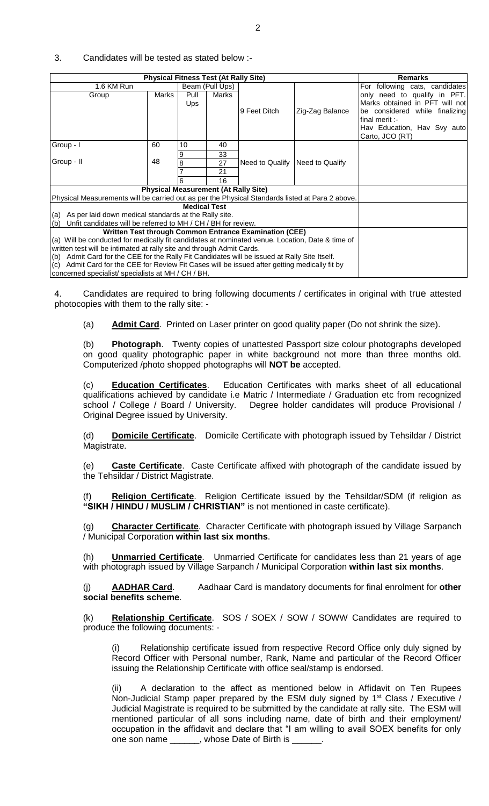#### **Physical Fitness Test (At Rally Site) Remarks** 1.6 KM Run Beam (Pull Ups) 9 Feet Ditch | Zig-Zag Balance For following cats, candidates only need to qualify in PFT. Marks obtained in PFT will not be considered while finalizing final merit :- Hav Education, Hav Svy auto Carto, JCO (RT) Group Marks Pull Ups Marks Group - I Group - II 60 48 10 | 40 Need to Qualify | Need to Qualify 9 33 8 27 21 6 16 **Physical Measurement (At Rally Site)** Physical Measurements will be carried out as per the Physical Standards listed at Para 2 above. **Medical Test** As per laid down medical standards at the Rally site. (b) Unfit candidates will be referred to MH / CH / BH for review. **Written Test through Common Entrance Examination (CEE)** (a) Will be conducted for medically fit candidates at nominated venue. Location, Date & time of written test will be intimated at rally site and through Admit Cards. (b) Admit Card for the CEE for the Rally Fit Candidates will be issued at Rally Site Itself. (c) Admit Card for the CEE for Review Fit Cases will be issued after getting medically fit by concerned specialist/ specialists at MH / CH / BH.

4. Candidates are required to bring following documents / certificates in original with true attested photocopies with them to the rally site: -

(a) **Admit Card**. Printed on Laser printer on good quality paper (Do not shrink the size).

(b) **Photograph**. Twenty copies of unattested Passport size colour photographs developed on good quality photographic paper in white background not more than three months old. Computerized /photo shopped photographs will **NOT be** accepted.

(c) **Education Certificates**. Education Certificates with marks sheet of all educational qualifications achieved by candidate i.e Matric / Intermediate / Graduation etc from recognized school / College / Board / University. Degree holder candidates will produce Provisional / Original Degree issued by University.

(d) **Domicile Certificate**. Domicile Certificate with photograph issued by Tehsildar / District Magistrate.

(e) **Caste Certificate**. Caste Certificate affixed with photograph of the candidate issued by the Tehsildar / District Magistrate.

**Religion Certificate**. Religion Certificate issued by the Tehsildar/SDM (if religion as **"SIKH / HINDU / MUSLIM / CHRISTIAN"** is not mentioned in caste certificate).

(g) **Character Certificate**. Character Certificate with photograph issued by Village Sarpanch / Municipal Corporation **within last six months**.

(h) **Unmarried Certificate**. Unmarried Certificate for candidates less than 21 years of age with photograph issued by Village Sarpanch / Municipal Corporation **within last six months**.

(j) **AADHAR Card**. Aadhaar Card is mandatory documents for final enrolment for **other social benefits scheme**.

(k) **Relationship Certificate**. SOS / SOEX / SOW / SOWW Candidates are required to produce the following documents: -

Relationship certificate issued from respective Record Office only duly signed by Record Officer with Personal number, Rank, Name and particular of the Record Officer issuing the Relationship Certificate with office seal/stamp is endorsed.

(ii) A declaration to the affect as mentioned below in Affidavit on Ten Rupees Non-Judicial Stamp paper prepared by the ESM duly signed by  $1<sup>st</sup>$  Class / Executive / Judicial Magistrate is required to be submitted by the candidate at rally site. The ESM will mentioned particular of all sons including name, date of birth and their employment/ occupation in the affidavit and declare that "I am willing to avail SOEX benefits for only one son name \_\_\_\_\_\_\_, whose Date of Birth is

### 3. Candidates will be tested as stated below :-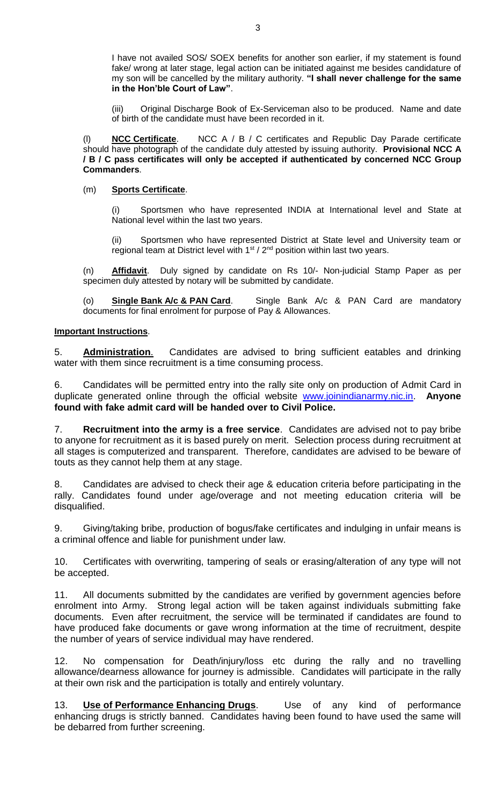I have not availed SOS/ SOEX benefits for another son earlier, if my statement is found fake/ wrong at later stage, legal action can be initiated against me besides candidature of my son will be cancelled by the military authority. **"I shall never challenge for the same in the Hon'ble Court of Law"**.

(iii) Original Discharge Book of Ex-Serviceman also to be produced. Name and date of birth of the candidate must have been recorded in it.

(l) **NCC Certificate**. NCC A / B / C certificates and Republic Day Parade certificate should have photograph of the candidate duly attested by issuing authority. **Provisional NCC A / B / C pass certificates will only be accepted if authenticated by concerned NCC Group Commanders**.

# (m) **Sports Certificate**.

(i) Sportsmen who have represented INDIA at International level and State at National level within the last two years.

(ii) Sportsmen who have represented District at State level and University team or regional team at District level with 1<sup>st</sup> / 2<sup>nd</sup> position within last two years.

(n) **Affidavit**. Duly signed by candidate on Rs 10/- Non-judicial Stamp Paper as per specimen duly attested by notary will be submitted by candidate.

(o) **Single Bank A/c & PAN Card**. Single Bank A/c & PAN Card are mandatory documents for final enrolment for purpose of Pay & Allowances.

# **Important Instructions**.

5. **Administration**. Candidates are advised to bring sufficient eatables and drinking water with them since recruitment is a time consuming process.

6. Candidates will be permitted entry into the rally site only on production of Admit Card in duplicate generated online through the official website [www.joinindianarmy.nic.in.](http://www.joinindianarmy.nic.in/) **Anyone found with fake admit card will be handed over to Civil Police.**

7. **Recruitment into the army is a free service**. Candidates are advised not to pay bribe to anyone for recruitment as it is based purely on merit. Selection process during recruitment at all stages is computerized and transparent. Therefore, candidates are advised to be beware of touts as they cannot help them at any stage.

8. Candidates are advised to check their age & education criteria before participating in the rally. Candidates found under age/overage and not meeting education criteria will be disqualified.

9. Giving/taking bribe, production of bogus/fake certificates and indulging in unfair means is a criminal offence and liable for punishment under law.

10. Certificates with overwriting, tampering of seals or erasing/alteration of any type will not be accepted.

11. All documents submitted by the candidates are verified by government agencies before enrolment into Army. Strong legal action will be taken against individuals submitting fake documents. Even after recruitment, the service will be terminated if candidates are found to have produced fake documents or gave wrong information at the time of recruitment, despite the number of years of service individual may have rendered.

12. No compensation for Death/injury/loss etc during the rally and no travelling allowance/dearness allowance for journey is admissible. Candidates will participate in the rally at their own risk and the participation is totally and entirely voluntary.

13. **Use of Performance Enhancing Drugs**. Use of any kind of performance enhancing drugs is strictly banned. Candidates having been found to have used the same will be debarred from further screening.